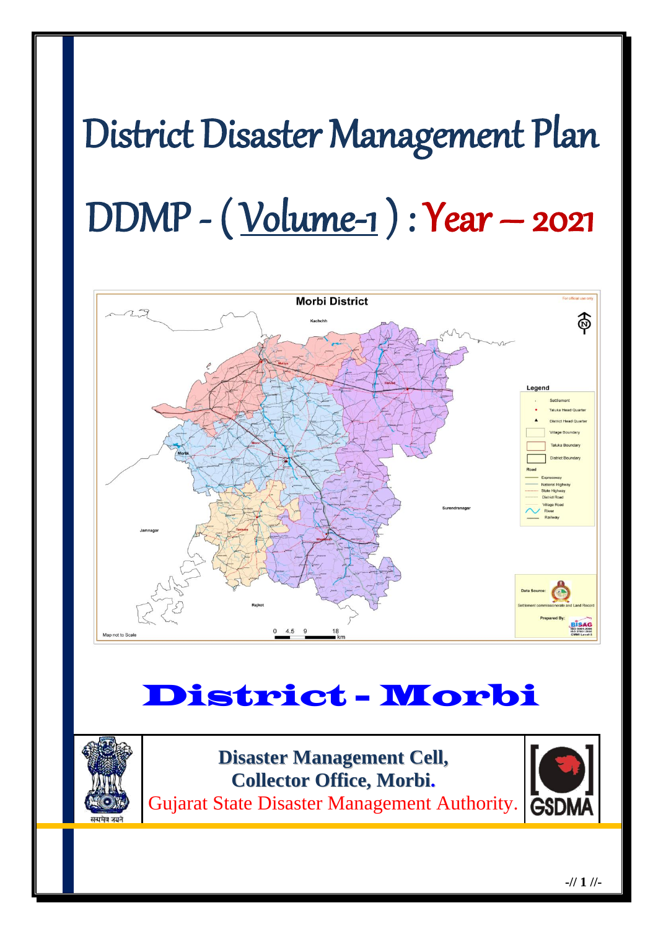# District Disaster Management Plan DDMP - ( Volume-1 ) : Year – 2021



## District - Morbi



**Disaster Management Cell, Collector Office, Morbi.** Gujarat State Disaster Management Authority. **GSDN** 

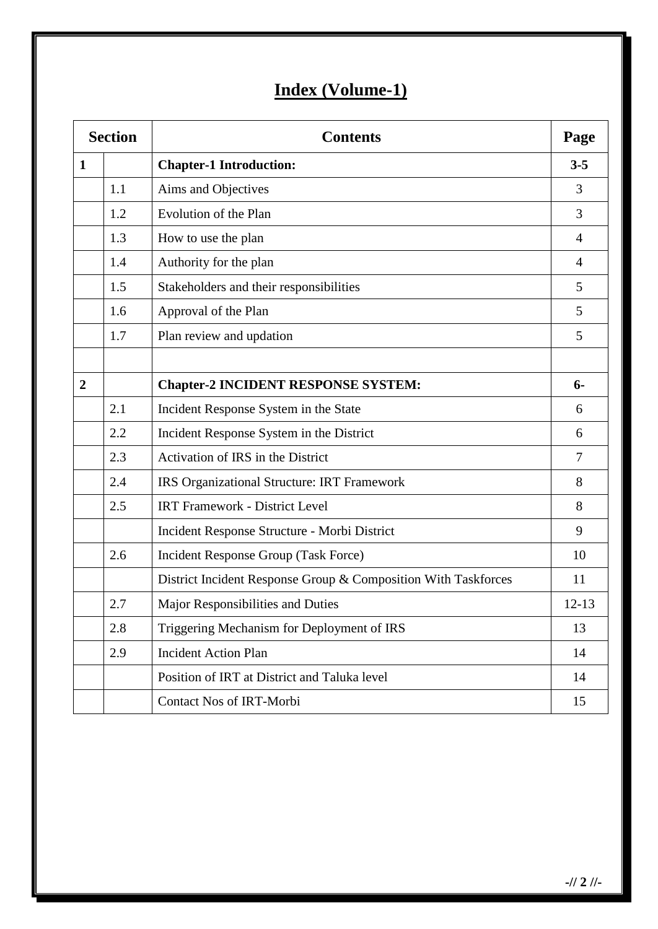## **Index (Volume-1)**

| <b>Section</b> |     | <b>Contents</b>                                                |                |
|----------------|-----|----------------------------------------------------------------|----------------|
| $\mathbf{1}$   |     | <b>Chapter-1 Introduction:</b>                                 | $3 - 5$        |
|                | 1.1 | Aims and Objectives                                            | 3              |
|                | 1.2 | Evolution of the Plan                                          | 3              |
|                | 1.3 | How to use the plan                                            | $\overline{4}$ |
|                | 1.4 | Authority for the plan                                         | 4              |
|                | 1.5 | Stakeholders and their responsibilities                        | 5              |
|                | 1.6 | Approval of the Plan                                           | 5              |
|                | 1.7 | Plan review and updation                                       | 5              |
|                |     |                                                                |                |
| $\overline{2}$ |     | <b>Chapter-2 INCIDENT RESPONSE SYSTEM:</b>                     | $6-$           |
|                | 2.1 | Incident Response System in the State                          | 6              |
|                | 2.2 | Incident Response System in the District                       | 6              |
|                | 2.3 | Activation of IRS in the District                              | $\overline{7}$ |
|                | 2.4 | IRS Organizational Structure: IRT Framework                    | 8              |
|                | 2.5 | <b>IRT Framework - District Level</b>                          | 8              |
|                |     | Incident Response Structure - Morbi District                   | 9              |
|                | 2.6 | Incident Response Group (Task Force)                           | 10             |
|                |     | District Incident Response Group & Composition With Taskforces | 11             |
|                | 2.7 | Major Responsibilities and Duties                              | $12 - 13$      |
|                | 2.8 | Triggering Mechanism for Deployment of IRS                     | 13             |
|                | 2.9 | <b>Incident Action Plan</b>                                    | 14             |
|                |     | Position of IRT at District and Taluka level                   | 14             |
|                |     | Contact Nos of IRT-Morbi                                       | 15             |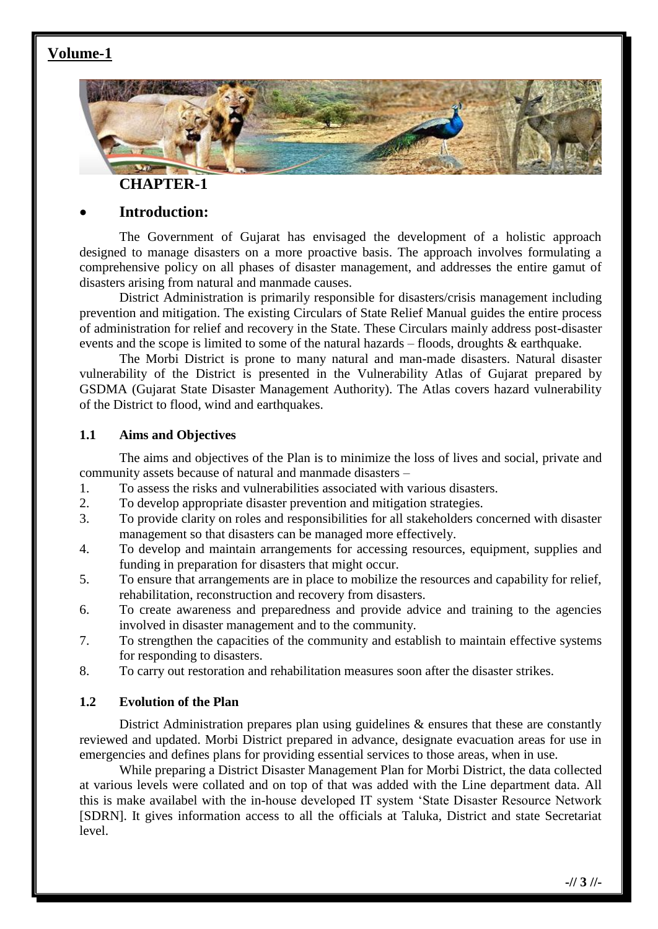#### **Volume-1**



**CHAPTER-1**

#### **Introduction:**

The Government of Gujarat has envisaged the development of a holistic approach designed to manage disasters on a more proactive basis. The approach involves formulating a comprehensive policy on all phases of disaster management, and addresses the entire gamut of disasters arising from natural and manmade causes.

District Administration is primarily responsible for disasters/crisis management including prevention and mitigation. The existing Circulars of State Relief Manual guides the entire process of administration for relief and recovery in the State. These Circulars mainly address post-disaster events and the scope is limited to some of the natural hazards – floods, droughts & earthquake.

The Morbi District is prone to many natural and man-made disasters. Natural disaster vulnerability of the District is presented in the Vulnerability Atlas of Gujarat prepared by GSDMA (Gujarat State Disaster Management Authority). The Atlas covers hazard vulnerability of the District to flood, wind and earthquakes.

#### **1.1 Aims and Objectives**

The aims and objectives of the Plan is to minimize the loss of lives and social, private and community assets because of natural and manmade disasters –

- 1. To assess the risks and vulnerabilities associated with various disasters.
- 2. To develop appropriate disaster prevention and mitigation strategies.
- 3. To provide clarity on roles and responsibilities for all stakeholders concerned with disaster management so that disasters can be managed more effectively.
- 4. To develop and maintain arrangements for accessing resources, equipment, supplies and funding in preparation for disasters that might occur.
- 5. To ensure that arrangements are in place to mobilize the resources and capability for relief, rehabilitation, reconstruction and recovery from disasters.
- 6. To create awareness and preparedness and provide advice and training to the agencies involved in disaster management and to the community.
- 7. To strengthen the capacities of the community and establish to maintain effective systems for responding to disasters.
- 8. To carry out restoration and rehabilitation measures soon after the disaster strikes.

#### **1.2 Evolution of the Plan**

District Administration prepares plan using guidelines  $\&$  ensures that these are constantly reviewed and updated. Morbi District prepared in advance, designate evacuation areas for use in emergencies and defines plans for providing essential services to those areas, when in use.

While preparing a District Disaster Management Plan for Morbi District, the data collected at various levels were collated and on top of that was added with the Line department data. All this is make availabel with the in-house developed IT system 'State Disaster Resource Network [SDRN]. It gives information access to all the officials at Taluka, District and state Secretariat level.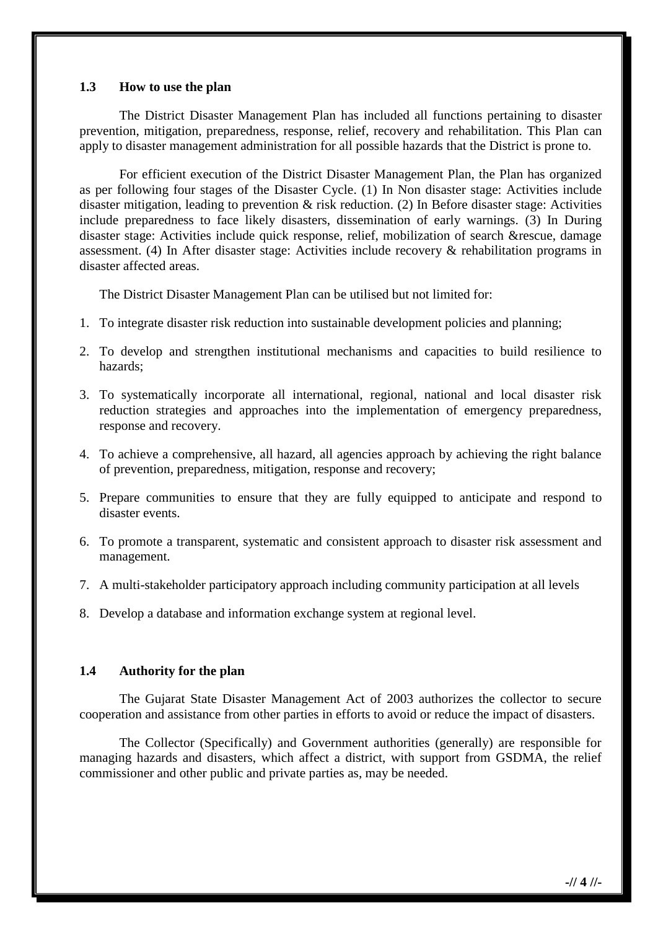#### **1.3 How to use the plan**

The District Disaster Management Plan has included all functions pertaining to disaster prevention, mitigation, preparedness, response, relief, recovery and rehabilitation. This Plan can apply to disaster management administration for all possible hazards that the District is prone to.

For efficient execution of the District Disaster Management Plan, the Plan has organized as per following four stages of the Disaster Cycle. (1) In Non disaster stage: Activities include disaster mitigation, leading to prevention & risk reduction. (2) In Before disaster stage: Activities include preparedness to face likely disasters, dissemination of early warnings. (3) In During disaster stage: Activities include quick response, relief, mobilization of search &rescue, damage assessment. (4) In After disaster stage: Activities include recovery & rehabilitation programs in disaster affected areas.

The District Disaster Management Plan can be utilised but not limited for:

- 1. To integrate disaster risk reduction into sustainable development policies and planning;
- 2. To develop and strengthen institutional mechanisms and capacities to build resilience to hazards;
- 3. To systematically incorporate all international, regional, national and local disaster risk reduction strategies and approaches into the implementation of emergency preparedness, response and recovery.
- 4. To achieve a comprehensive, all hazard, all agencies approach by achieving the right balance of prevention, preparedness, mitigation, response and recovery;
- 5. Prepare communities to ensure that they are fully equipped to anticipate and respond to disaster events.
- 6. To promote a transparent, systematic and consistent approach to disaster risk assessment and management.
- 7. A multi-stakeholder participatory approach including community participation at all levels
- 8. Develop a database and information exchange system at regional level.

#### **1.4 Authority for the plan**

The Gujarat State Disaster Management Act of 2003 authorizes the collector to secure cooperation and assistance from other parties in efforts to avoid or reduce the impact of disasters.

The Collector (Specifically) and Government authorities (generally) are responsible for managing hazards and disasters, which affect a district, with support from GSDMA, the relief commissioner and other public and private parties as, may be needed.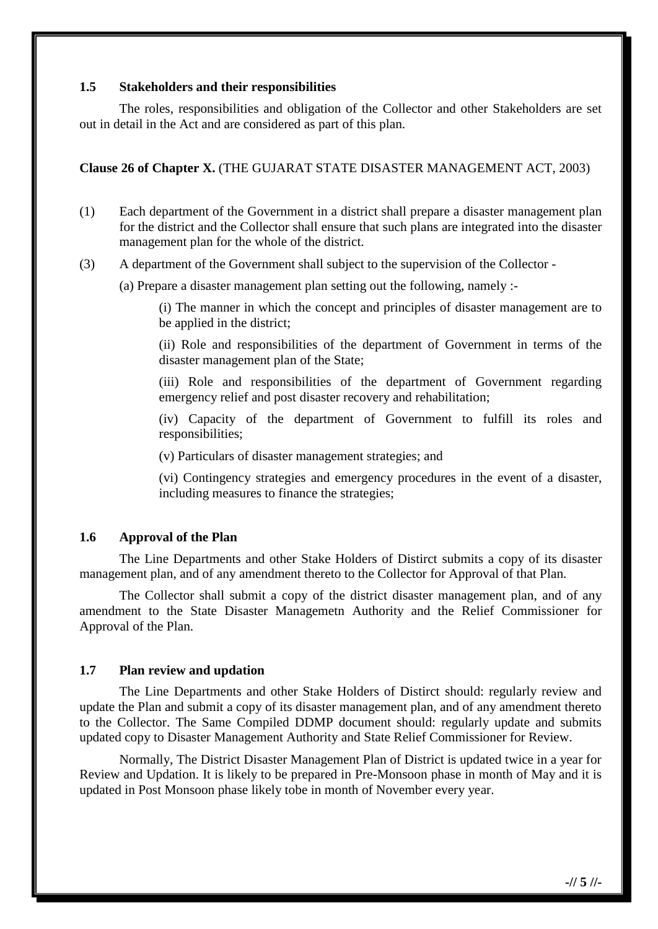#### **1.5 Stakeholders and their responsibilities**

The roles, responsibilities and obligation of the Collector and other Stakeholders are set out in detail in the Act and are considered as part of this plan.

#### **Clause 26 of Chapter X.** (THE GUJARAT STATE DISASTER MANAGEMENT ACT, 2003)

- (1) Each department of the Government in a district shall prepare a disaster management plan for the district and the Collector shall ensure that such plans are integrated into the disaster management plan for the whole of the district.
- (3) A department of the Government shall subject to the supervision of the Collector
	- (a) Prepare a disaster management plan setting out the following, namely :-

(i) The manner in which the concept and principles of disaster management are to be applied in the district;

(ii) Role and responsibilities of the department of Government in terms of the disaster management plan of the State;

(iii) Role and responsibilities of the department of Government regarding emergency relief and post disaster recovery and rehabilitation;

(iv) Capacity of the department of Government to fulfill its roles and responsibilities;

(v) Particulars of disaster management strategies; and

(vi) Contingency strategies and emergency procedures in the event of a disaster, including measures to finance the strategies;

#### **1.6 Approval of the Plan**

The Line Departments and other Stake Holders of Distirct submits a copy of its disaster management plan, and of any amendment thereto to the Collector for Approval of that Plan.

The Collector shall submit a copy of the district disaster management plan, and of any amendment to the State Disaster Managemetn Authority and the Relief Commissioner for Approval of the Plan.

#### **1.7 Plan review and updation**

The Line Departments and other Stake Holders of Distirct should: regularly review and update the Plan and submit a copy of its disaster management plan, and of any amendment thereto to the Collector. The Same Compiled DDMP document should: regularly update and submits updated copy to Disaster Management Authority and State Relief Commissioner for Review.

Normally, The District Disaster Management Plan of District is updated twice in a year for Review and Updation. It is likely to be prepared in Pre-Monsoon phase in month of May and it is updated in Post Monsoon phase likely tobe in month of November every year.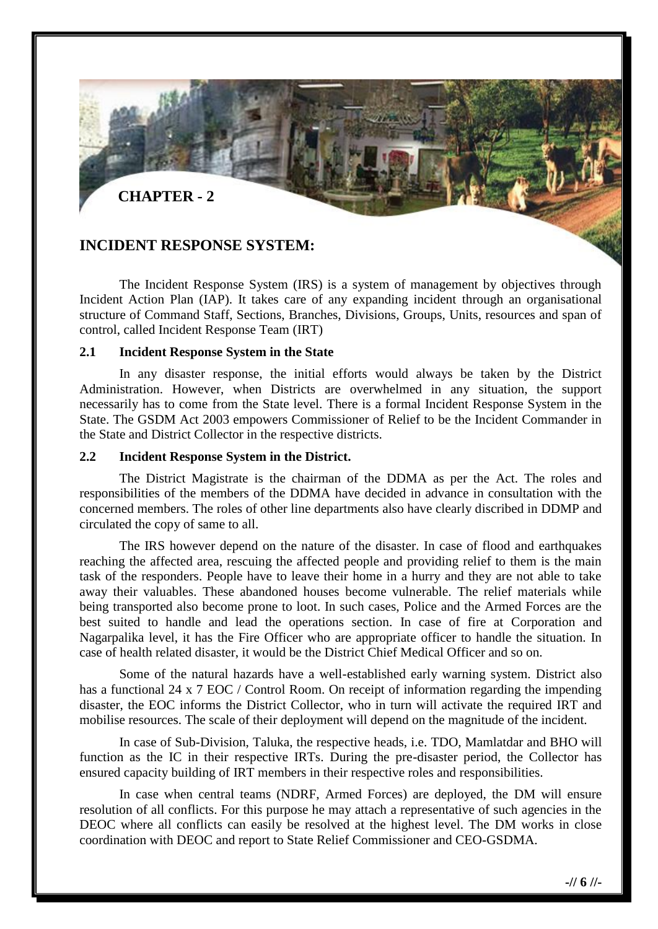

#### **INCIDENT RESPONSE SYSTEM:**

The Incident Response System (IRS) is a system of management by objectives through Incident Action Plan (IAP). It takes care of any expanding incident through an organisational structure of Command Staff, Sections, Branches, Divisions, Groups, Units, resources and span of control, called Incident Response Team (IRT)

#### **2.1 Incident Response System in the State**

In any disaster response, the initial efforts would always be taken by the District Administration. However, when Districts are overwhelmed in any situation, the support necessarily has to come from the State level. There is a formal Incident Response System in the State. The GSDM Act 2003 empowers Commissioner of Relief to be the Incident Commander in the State and District Collector in the respective districts.

#### **2.2 Incident Response System in the District.**

The District Magistrate is the chairman of the DDMA as per the Act. The roles and responsibilities of the members of the DDMA have decided in advance in consultation with the concerned members. The roles of other line departments also have clearly discribed in DDMP and circulated the copy of same to all.

The IRS however depend on the nature of the disaster. In case of flood and earthquakes reaching the affected area, rescuing the affected people and providing relief to them is the main task of the responders. People have to leave their home in a hurry and they are not able to take away their valuables. These abandoned houses become vulnerable. The relief materials while being transported also become prone to loot. In such cases, Police and the Armed Forces are the best suited to handle and lead the operations section. In case of fire at Corporation and Nagarpalika level, it has the Fire Officer who are appropriate officer to handle the situation. In case of health related disaster, it would be the District Chief Medical Officer and so on.

Some of the natural hazards have a well-established early warning system. District also has a functional 24 x 7 EOC / Control Room. On receipt of information regarding the impending disaster, the EOC informs the District Collector, who in turn will activate the required IRT and mobilise resources. The scale of their deployment will depend on the magnitude of the incident.

In case of Sub-Division, Taluka, the respective heads, i.e. TDO, Mamlatdar and BHO will function as the IC in their respective IRTs. During the pre-disaster period, the Collector has ensured capacity building of IRT members in their respective roles and responsibilities.

In case when central teams (NDRF, Armed Forces) are deployed, the DM will ensure resolution of all conflicts. For this purpose he may attach a representative of such agencies in the DEOC where all conflicts can easily be resolved at the highest level. The DM works in close coordination with DEOC and report to State Relief Commissioner and CEO-GSDMA.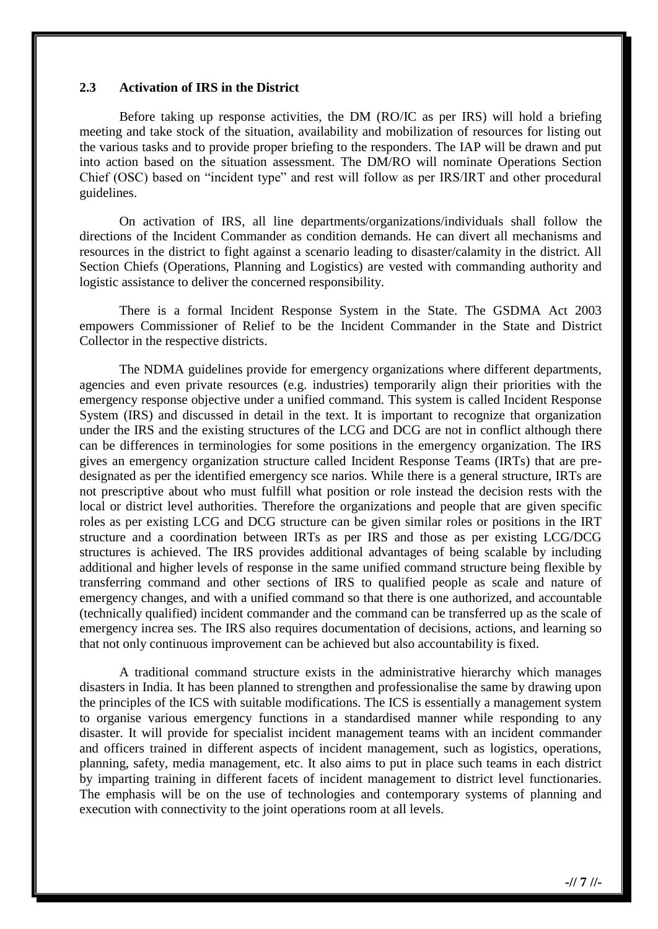#### **2.3 Activation of IRS in the District**

Before taking up response activities, the DM (RO/IC as per IRS) will hold a briefing meeting and take stock of the situation, availability and mobilization of resources for listing out the various tasks and to provide proper briefing to the responders. The IAP will be drawn and put into action based on the situation assessment. The DM/RO will nominate Operations Section Chief (OSC) based on "incident type" and rest will follow as per IRS/IRT and other procedural guidelines.

On activation of IRS, all line departments/organizations/individuals shall follow the directions of the Incident Commander as condition demands. He can divert all mechanisms and resources in the district to fight against a scenario leading to disaster/calamity in the district. All Section Chiefs (Operations, Planning and Logistics) are vested with commanding authority and logistic assistance to deliver the concerned responsibility.

There is a formal Incident Response System in the State. The GSDMA Act 2003 empowers Commissioner of Relief to be the Incident Commander in the State and District Collector in the respective districts.

The NDMA guidelines provide for emergency organizations where different departments, agencies and even private resources (e.g. industries) temporarily align their priorities with the emergency response objective under a unified command. This system is called Incident Response System (IRS) and discussed in detail in the text. It is important to recognize that organization under the IRS and the existing structures of the LCG and DCG are not in conflict although there can be differences in terminologies for some positions in the emergency organization. The IRS gives an emergency organization structure called Incident Response Teams (IRTs) that are predesignated as per the identified emergency sce narios. While there is a general structure, IRTs are not prescriptive about who must fulfill what position or role instead the decision rests with the local or district level authorities. Therefore the organizations and people that are given specific roles as per existing LCG and DCG structure can be given similar roles or positions in the IRT structure and a coordination between IRTs as per IRS and those as per existing LCG/DCG structures is achieved. The IRS provides additional advantages of being scalable by including additional and higher levels of response in the same unified command structure being flexible by transferring command and other sections of IRS to qualified people as scale and nature of emergency changes, and with a unified command so that there is one authorized, and accountable (technically qualified) incident commander and the command can be transferred up as the scale of emergency increa ses. The IRS also requires documentation of decisions, actions, and learning so that not only continuous improvement can be achieved but also accountability is fixed.

A traditional command structure exists in the administrative hierarchy which manages disasters in India. It has been planned to strengthen and professionalise the same by drawing upon the principles of the ICS with suitable modifications. The ICS is essentially a management system to organise various emergency functions in a standardised manner while responding to any disaster. It will provide for specialist incident management teams with an incident commander and officers trained in different aspects of incident management, such as logistics, operations, planning, safety, media management, etc. It also aims to put in place such teams in each district by imparting training in different facets of incident management to district level functionaries. The emphasis will be on the use of technologies and contemporary systems of planning and execution with connectivity to the joint operations room at all levels.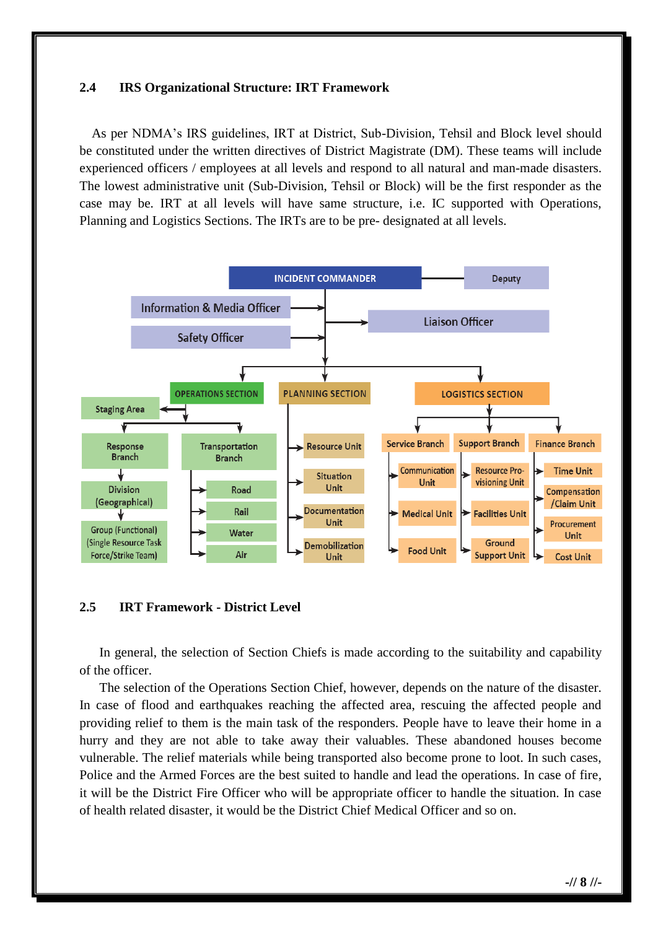#### **2.4 IRS Organizational Structure: IRT Framework**

As per NDMA's IRS guidelines, IRT at District, Sub-Division, Tehsil and Block level should be constituted under the written directives of District Magistrate (DM). These teams will include experienced officers / employees at all levels and respond to all natural and man-made disasters. The lowest administrative unit (Sub-Division, Tehsil or Block) will be the first responder as the case may be. IRT at all levels will have same structure, i.e. IC supported with Operations, Planning and Logistics Sections. The IRTs are to be pre- designated at all levels.



#### **2.5 IRT Framework - District Level**

In general, the selection of Section Chiefs is made according to the suitability and capability of the officer.

The selection of the Operations Section Chief, however, depends on the nature of the disaster. In case of flood and earthquakes reaching the affected area, rescuing the affected people and providing relief to them is the main task of the responders. People have to leave their home in a hurry and they are not able to take away their valuables. These abandoned houses become vulnerable. The relief materials while being transported also become prone to loot. In such cases, Police and the Armed Forces are the best suited to handle and lead the operations. In case of fire, it will be the District Fire Officer who will be appropriate officer to handle the situation. In case of health related disaster, it would be the District Chief Medical Officer and so on.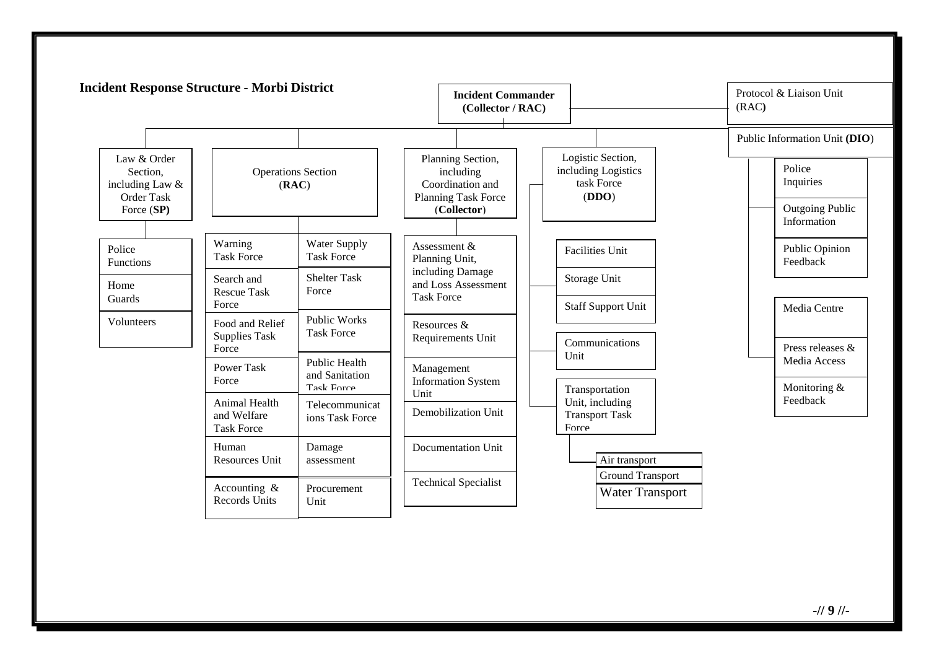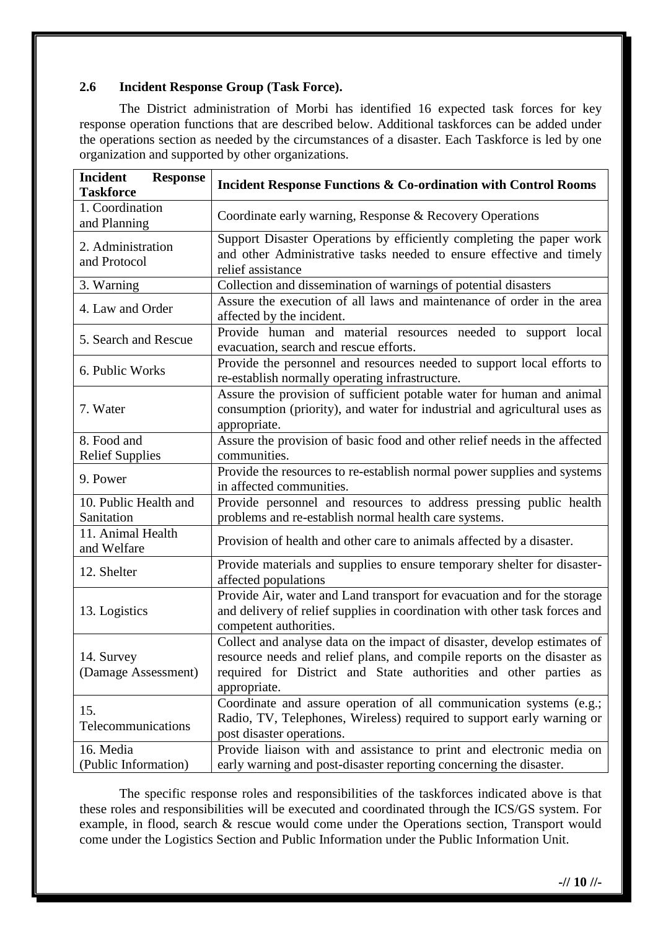#### **2.6 Incident Response Group (Task Force).**

The District administration of Morbi has identified 16 expected task forces for key response operation functions that are described below. Additional taskforces can be added under the operations section as needed by the circumstances of a disaster. Each Taskforce is led by one organization and supported by other organizations.

| <b>Incident</b><br><b>Response</b><br><b>Taskforce</b> | <b>Incident Response Functions &amp; Co-ordination with Control Rooms</b>                                                                                                                                                               |  |
|--------------------------------------------------------|-----------------------------------------------------------------------------------------------------------------------------------------------------------------------------------------------------------------------------------------|--|
| 1. Coordination<br>and Planning                        | Coordinate early warning, Response & Recovery Operations                                                                                                                                                                                |  |
| 2. Administration<br>and Protocol                      | Support Disaster Operations by efficiently completing the paper work<br>and other Administrative tasks needed to ensure effective and timely<br>relief assistance                                                                       |  |
| 3. Warning                                             | Collection and dissemination of warnings of potential disasters                                                                                                                                                                         |  |
| 4. Law and Order                                       | Assure the execution of all laws and maintenance of order in the area<br>affected by the incident.                                                                                                                                      |  |
| 5. Search and Rescue                                   | Provide human and material resources needed to support local<br>evacuation, search and rescue efforts.                                                                                                                                  |  |
| 6. Public Works                                        | Provide the personnel and resources needed to support local efforts to<br>re-establish normally operating infrastructure.                                                                                                               |  |
| 7. Water                                               | Assure the provision of sufficient potable water for human and animal<br>consumption (priority), and water for industrial and agricultural uses as<br>appropriate.                                                                      |  |
| 8. Food and<br><b>Relief Supplies</b>                  | Assure the provision of basic food and other relief needs in the affected<br>communities.                                                                                                                                               |  |
| 9. Power                                               | Provide the resources to re-establish normal power supplies and systems<br>in affected communities.                                                                                                                                     |  |
| 10. Public Health and<br>Sanitation                    | Provide personnel and resources to address pressing public health<br>problems and re-establish normal health care systems.                                                                                                              |  |
| 11. Animal Health<br>and Welfare                       | Provision of health and other care to animals affected by a disaster.                                                                                                                                                                   |  |
| 12. Shelter                                            | Provide materials and supplies to ensure temporary shelter for disaster-<br>affected populations                                                                                                                                        |  |
| 13. Logistics                                          | Provide Air, water and Land transport for evacuation and for the storage<br>and delivery of relief supplies in coordination with other task forces and<br>competent authorities.                                                        |  |
| 14. Survey<br>(Damage Assessment)                      | Collect and analyse data on the impact of disaster, develop estimates of<br>resource needs and relief plans, and compile reports on the disaster as<br>required for District and State authorities and other parties as<br>appropriate. |  |
| 15.<br>Telecommunications                              | Coordinate and assure operation of all communication systems (e.g.;<br>Radio, TV, Telephones, Wireless) required to support early warning or<br>post disaster operations.                                                               |  |
| 16. Media<br>(Public Information)                      | Provide liaison with and assistance to print and electronic media on<br>early warning and post-disaster reporting concerning the disaster.                                                                                              |  |

The specific response roles and responsibilities of the taskforces indicated above is that these roles and responsibilities will be executed and coordinated through the ICS/GS system. For example, in flood, search & rescue would come under the Operations section, Transport would come under the Logistics Section and Public Information under the Public Information Unit.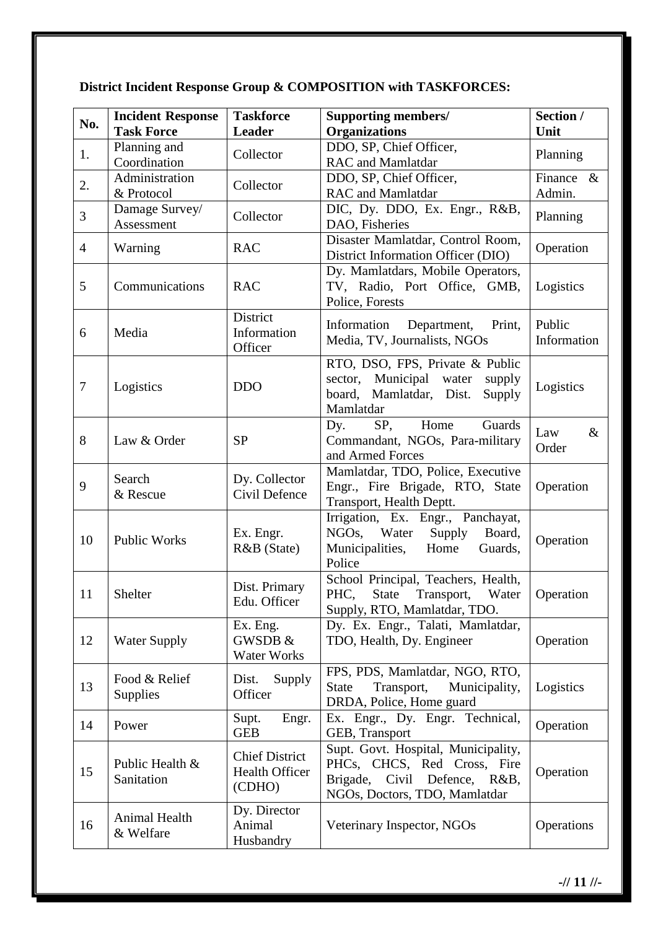## **District Incident Response Group & COMPOSITION with TASKFORCES:**

| No.            | <b>Incident Response</b>          | <b>Taskforce</b>                                         | <b>Supporting members/</b>                                                                                                           | Section /                 |
|----------------|-----------------------------------|----------------------------------------------------------|--------------------------------------------------------------------------------------------------------------------------------------|---------------------------|
|                | <b>Task Force</b><br>Planning and | <b>Leader</b>                                            | <b>Organizations</b><br>DDO, SP, Chief Officer,                                                                                      | Unit                      |
| 1.             | Coordination                      | Collector                                                | <b>RAC</b> and Mamlatdar                                                                                                             | Planning                  |
| 2.             | Administration<br>& Protocol      | Collector                                                | DDO, SP, Chief Officer,<br><b>RAC</b> and Mamlatdar                                                                                  | Finance<br>$\&$<br>Admin. |
| 3              | Damage Survey/<br>Assessment      | Collector                                                | DIC, Dy. DDO, Ex. Engr., R&B,<br>DAO, Fisheries                                                                                      | Planning                  |
| $\overline{4}$ | Warning                           | <b>RAC</b>                                               | Disaster Mamlatdar, Control Room,<br>District Information Officer (DIO)                                                              | Operation                 |
| 5              | Communications                    | <b>RAC</b>                                               | Dy. Mamlatdars, Mobile Operators,<br>TV, Radio, Port Office, GMB,<br>Police, Forests                                                 | Logistics                 |
| 6              | Media                             | District<br>Information<br>Officer                       | Information<br>Department,<br>Print,<br>Media, TV, Journalists, NGOs                                                                 | Public<br>Information     |
| $\tau$         | Logistics                         | <b>DDO</b>                                               | RTO, DSO, FPS, Private & Public<br>Municipal water<br>sector,<br>supply<br>board, Mamlatdar, Dist.<br>Supply<br>Mamlatdar            | Logistics                 |
| 8              | Law & Order                       | <b>SP</b>                                                | Home<br>Guards<br>SP,<br>Dy.<br>Commandant, NGOs, Para-military<br>and Armed Forces                                                  | Law<br>$\&$<br>Order      |
| 9              | Search<br>& Rescue                | Dy. Collector<br>Civil Defence                           | Mamlatdar, TDO, Police, Executive<br>Engr., Fire Brigade, RTO, State<br>Transport, Health Deptt.                                     | Operation                 |
| 10             | <b>Public Works</b>               | Ex. Engr.<br>R&B (State)                                 | Irrigation, Ex. Engr., Panchayat,<br>NGO <sub>s</sub> ,<br>Water<br>Supply<br>Board,<br>Municipalities,<br>Home<br>Guards,<br>Police | Operation                 |
| 11             | Shelter                           | Dist. Primary<br>Edu. Officer                            | School Principal, Teachers, Health,<br>PHC,<br>State<br>Transport,<br>Water<br>Supply, RTO, Mamlatdar, TDO.                          | Operation                 |
| 12             | <b>Water Supply</b>               | Ex. Eng.<br>GWSDB &<br>Water Works                       | Dy. Ex. Engr., Talati, Mamlatdar,<br>TDO, Health, Dy. Engineer                                                                       | Operation                 |
| 13             | Food & Relief<br>Supplies         | Dist.<br>Supply<br>Officer                               | FPS, PDS, Mamlatdar, NGO, RTO,<br>Transport,<br><b>State</b><br>Municipality,<br>DRDA, Police, Home guard                            | Logistics                 |
| 14             | Power                             | Supt.<br>Engr.<br><b>GEB</b>                             | Ex. Engr., Dy. Engr. Technical,<br>GEB, Transport                                                                                    | Operation                 |
| 15             | Public Health &<br>Sanitation     | <b>Chief District</b><br><b>Health Officer</b><br>(CDHO) | Supt. Govt. Hospital, Municipality,<br>PHCs, CHCS, Red Cross, Fire<br>Brigade, Civil Defence, R&B,<br>NGOs, Doctors, TDO, Mamlatdar  | Operation                 |
| 16             | Animal Health<br>& Welfare        | Dy. Director<br>Animal<br>Husbandry                      | Veterinary Inspector, NGOs                                                                                                           | Operations                |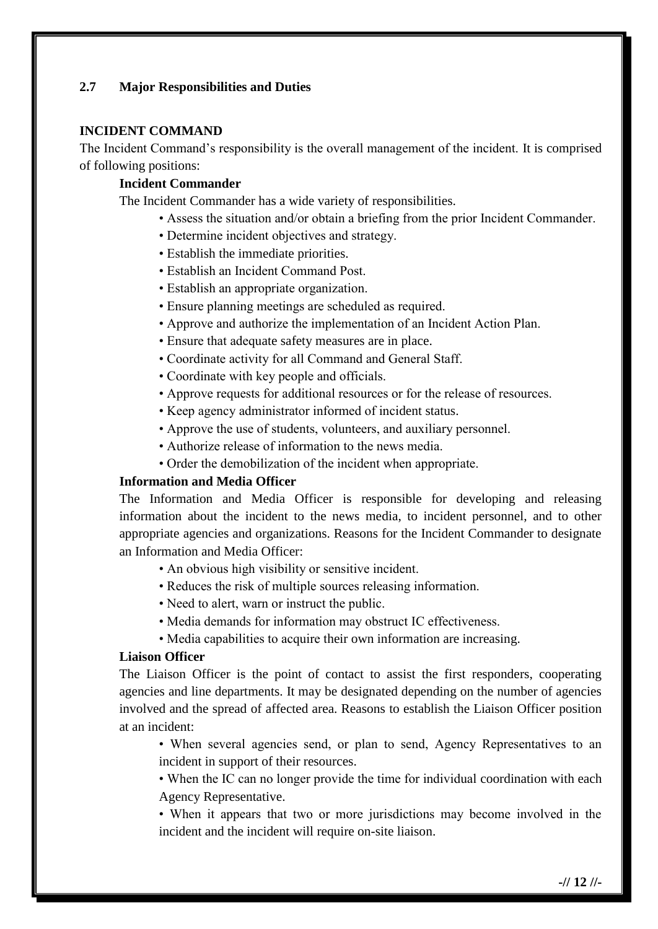#### **2.7 Major Responsibilities and Duties**

#### **INCIDENT COMMAND**

The Incident Command's responsibility is the overall management of the incident. It is comprised of following positions:

#### **Incident Commander**

The Incident Commander has a wide variety of responsibilities.

- Assess the situation and/or obtain a briefing from the prior Incident Commander.
- Determine incident objectives and strategy.
- Establish the immediate priorities.
- Establish an Incident Command Post.
- Establish an appropriate organization.
- Ensure planning meetings are scheduled as required.
- Approve and authorize the implementation of an Incident Action Plan.
- Ensure that adequate safety measures are in place.
- Coordinate activity for all Command and General Staff.
- Coordinate with key people and officials.
- Approve requests for additional resources or for the release of resources.
- Keep agency administrator informed of incident status.
- Approve the use of students, volunteers, and auxiliary personnel.
- Authorize release of information to the news media.
- Order the demobilization of the incident when appropriate.

#### **Information and Media Officer**

The Information and Media Officer is responsible for developing and releasing information about the incident to the news media, to incident personnel, and to other appropriate agencies and organizations. Reasons for the Incident Commander to designate an Information and Media Officer:

- An obvious high visibility or sensitive incident.
- Reduces the risk of multiple sources releasing information.
- Need to alert, warn or instruct the public.
- Media demands for information may obstruct IC effectiveness.
- Media capabilities to acquire their own information are increasing.

#### **Liaison Officer**

The Liaison Officer is the point of contact to assist the first responders, cooperating agencies and line departments. It may be designated depending on the number of agencies involved and the spread of affected area. Reasons to establish the Liaison Officer position at an incident:

• When several agencies send, or plan to send, Agency Representatives to an incident in support of their resources.

• When the IC can no longer provide the time for individual coordination with each Agency Representative.

• When it appears that two or more jurisdictions may become involved in the incident and the incident will require on-site liaison.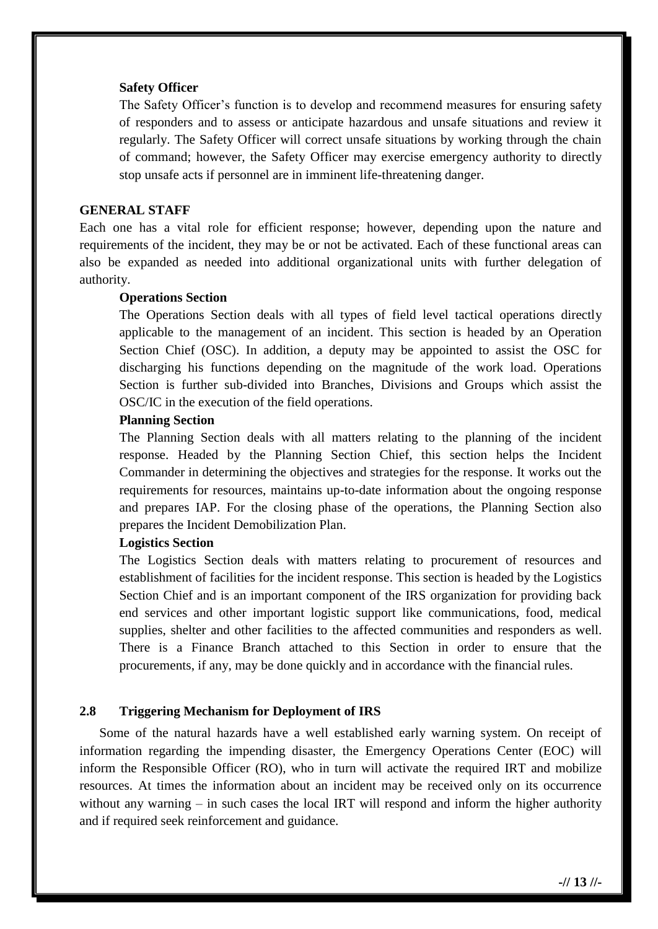#### **Safety Officer**

The Safety Officer's function is to develop and recommend measures for ensuring safety of responders and to assess or anticipate hazardous and unsafe situations and review it regularly. The Safety Officer will correct unsafe situations by working through the chain of command; however, the Safety Officer may exercise emergency authority to directly stop unsafe acts if personnel are in imminent life-threatening danger.

#### **GENERAL STAFF**

Each one has a vital role for efficient response; however, depending upon the nature and requirements of the incident, they may be or not be activated. Each of these functional areas can also be expanded as needed into additional organizational units with further delegation of authority.

#### **Operations Section**

The Operations Section deals with all types of field level tactical operations directly applicable to the management of an incident. This section is headed by an Operation Section Chief (OSC). In addition, a deputy may be appointed to assist the OSC for discharging his functions depending on the magnitude of the work load. Operations Section is further sub-divided into Branches, Divisions and Groups which assist the OSC/IC in the execution of the field operations.

#### **Planning Section**

The Planning Section deals with all matters relating to the planning of the incident response. Headed by the Planning Section Chief, this section helps the Incident Commander in determining the objectives and strategies for the response. It works out the requirements for resources, maintains up-to-date information about the ongoing response and prepares IAP. For the closing phase of the operations, the Planning Section also prepares the Incident Demobilization Plan.

#### **Logistics Section**

The Logistics Section deals with matters relating to procurement of resources and establishment of facilities for the incident response. This section is headed by the Logistics Section Chief and is an important component of the IRS organization for providing back end services and other important logistic support like communications, food, medical supplies, shelter and other facilities to the affected communities and responders as well. There is a Finance Branch attached to this Section in order to ensure that the procurements, if any, may be done quickly and in accordance with the financial rules.

#### **2.8 Triggering Mechanism for Deployment of IRS**

Some of the natural hazards have a well established early warning system. On receipt of information regarding the impending disaster, the Emergency Operations Center (EOC) will inform the Responsible Officer (RO), who in turn will activate the required IRT and mobilize resources. At times the information about an incident may be received only on its occurrence without any warning – in such cases the local IRT will respond and inform the higher authority and if required seek reinforcement and guidance.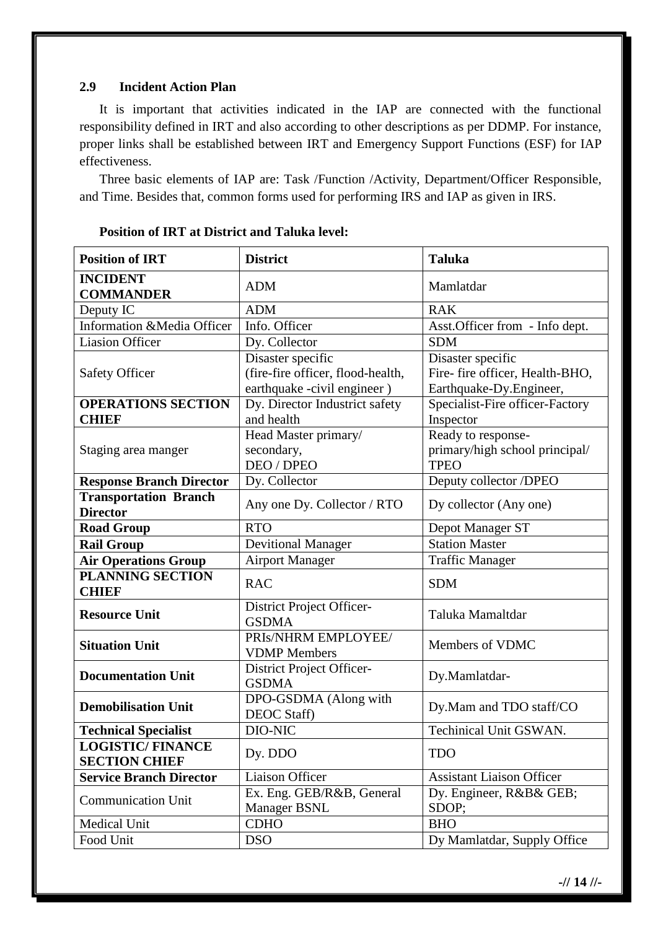#### **2.9 Incident Action Plan**

It is important that activities indicated in the IAP are connected with the functional responsibility defined in IRT and also according to other descriptions as per DDMP. For instance, proper links shall be established between IRT and Emergency Support Functions (ESF) for IAP effectiveness.

Three basic elements of IAP are: Task /Function /Activity, Department/Officer Responsible, and Time. Besides that, common forms used for performing IRS and IAP as given in IRS.

| <b>Position of IRT</b>                          | <b>District</b>                                                                       | <b>Taluka</b>                                                                    |  |
|-------------------------------------------------|---------------------------------------------------------------------------------------|----------------------------------------------------------------------------------|--|
| <b>INCIDENT</b><br><b>COMMANDER</b>             | <b>ADM</b>                                                                            | Mamlatdar                                                                        |  |
| Deputy IC                                       | <b>ADM</b>                                                                            | <b>RAK</b>                                                                       |  |
| Information &Media Officer                      | Info. Officer                                                                         | Asst. Officer from - Info dept.                                                  |  |
| <b>Liasion Officer</b>                          | Dy. Collector                                                                         | <b>SDM</b>                                                                       |  |
| <b>Safety Officer</b>                           | Disaster specific<br>(fire-fire officer, flood-health,<br>earthquake -civil engineer) | Disaster specific<br>Fire- fire officer, Health-BHO,<br>Earthquake-Dy.Engineer,  |  |
| <b>OPERATIONS SECTION</b>                       | Dy. Director Industrict safety                                                        | Specialist-Fire officer-Factory                                                  |  |
| <b>CHIEF</b>                                    | and health                                                                            | Inspector<br>Ready to response-<br>primary/high school principal/<br><b>TPEO</b> |  |
| Staging area manger                             | Head Master primary/<br>secondary,<br><b>DEO</b> / <b>DPEO</b>                        |                                                                                  |  |
| <b>Response Branch Director</b>                 | Dy. Collector                                                                         | Deputy collector /DPEO                                                           |  |
| <b>Transportation Branch</b><br><b>Director</b> | Any one Dy. Collector / RTO                                                           | Dy collector (Any one)                                                           |  |
| <b>Road Group</b>                               | <b>RTO</b>                                                                            | Depot Manager ST                                                                 |  |
| <b>Rail Group</b>                               | <b>Devitional Manager</b>                                                             | <b>Station Master</b>                                                            |  |
| <b>Air Operations Group</b>                     | <b>Airport Manager</b>                                                                | <b>Traffic Manager</b>                                                           |  |
| <b>PLANNING SECTION</b><br><b>CHIEF</b>         | <b>RAC</b>                                                                            | <b>SDM</b>                                                                       |  |
| <b>Resource Unit</b>                            | District Project Officer-<br><b>GSDMA</b>                                             | Taluka Mamaltdar                                                                 |  |
| <b>Situation Unit</b>                           | PRIS/NHRM EMPLOYEE/<br><b>VDMP</b> Members                                            | Members of VDMC                                                                  |  |
| <b>Documentation Unit</b>                       | District Project Officer-<br><b>GSDMA</b>                                             | Dy.Mamlatdar-                                                                    |  |
| <b>Demobilisation Unit</b>                      | DPO-GSDMA (Along with<br>DEOC Staff)                                                  | Dy.Mam and TDO staff/CO                                                          |  |
| <b>Technical Specialist</b>                     | DIO-NIC                                                                               | <b>Techinical Unit GSWAN.</b>                                                    |  |
| <b>LOGISTIC/FINANCE</b><br><b>SECTION CHIEF</b> | Dy. DDO                                                                               | <b>TDO</b>                                                                       |  |
| <b>Service Branch Director</b>                  | Liaison Officer                                                                       | <b>Assistant Liaison Officer</b>                                                 |  |
| <b>Communication Unit</b>                       | Ex. Eng. GEB/R&B, General<br>Manager BSNL                                             | Dy. Engineer, R&B& GEB;<br>SDOP;                                                 |  |
| Medical Unit                                    | <b>CDHO</b>                                                                           | <b>BHO</b>                                                                       |  |
| Food Unit                                       | <b>DSO</b>                                                                            | Dy Mamlatdar, Supply Office                                                      |  |

#### **Position of IRT at District and Taluka level:**